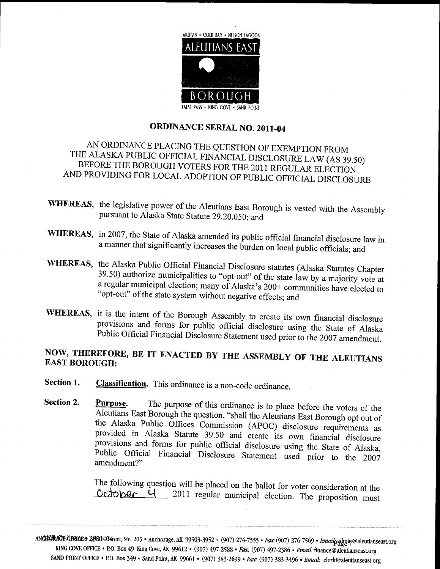

## ORDINANCE SERIAL NO. 2011-04

# AN ORDINANCE PLACING THE QUESTION OF EXEMPTION FROM BEFORE THE ALASKA PUBLIC OFFICIAL FINANCIAL DISCLOSURE LAW (AS 39.50)<br>FORE THE BOROUGH VOTERS FOR THE 2011 REGULAR ELECTION AND PROVIDING FOR LOCAL ADOPTION OF PUBLIC OFFICIAL DISCLOSURE

- WHEREAS, the legislative power of the Aleutians East Borough is vested with the Assembly pursuant to Alaska State Statute 29.20.050; and
- WHEREAS, in 2007, the State of Alaska amended its public official financial disclosure law in a manner that significantly increases the burden on local public officials; and
- 39.50) authorize municipalities to "opt-out" of the state law by a majority vote at a regular municipal election; many of Alaska's 200+ communities have elected to WHEREAS, the Alaska Public Official Financial Disclosure statutes (Alaska Statutes Chapter "opt-out" of the state system without negative effects; and
- WHEREAS, it is the intent of the Borough Assembly to create its own financial disclosure provisions and forms for public official disclosure using the State of Alaska Public Official Financial Disclosure Statement used prior to the 2007 amendment.

# NOW, THEREFORE, BE IT ENACTED BY THE ASSEMBLY OF THE ALEUTIANS EAST BOROUGH:

- Section 1. Classification. This ordinance is a non-code ordinance.
- Section 2. Purpose. The purpose of this ordinance is to place before the voters of the Aleutians East Borough the question, "shall the Aleutians East Borough opt out of the Alaska Public Offices Commission (APOC) disclosure requirements as provided in Alaska Statute 39.50 and create its own financial disclosure provisions and forms for public official disclosure using the State of Alaska, provisions and forms for public official disclosure using the State of Alaska, Public Official Financial Disclosure Statement used prior to the 2007 amendment?"<br>The following question will be placed on the ballot for voter amendment?" **Classification.** This ordinance is a non-code ordinance.<br> **Purpose.** The purpose of this ordinance is to place before the voters of the Aleutians East Borough the question, "shall the Aleutians East Borough opt out of<br>
t Section 2. Property<br>
Section 2. Property<br>
property<br>
property<br>
The<br>
C<br>
MARGEONCROPERCE SAND POINT OFFICE ancial disclosure<br>State of Alaska,<br>pr to the 2007<br>msideration at the<br>proposition must<br>mailpadguing@aleutianseast.org<br>ance@aleutianseast.org<br>clerk@aleutianseast.org<br>clerk@aleutianseast.org

The following question will be placed on the ballot for voter consideration at the  $Ccto$ 

KING COVE OFFICE • P.O. Box 49 King Cove, AK 99612 • (907) 497-2588 • Fax: (907) 497-2386 3080 COM reet, Ste. 205 • Anchorage, AK 99503-3952 • (907) 274-7555 • Fax: (907) 276-7569 Emaik finance@aleutianseast org SAND POINT OFFICE • P.O. Box 349 • Sand Point, AK 99661 • (907) 383-2699 • Fax: (907) 383-3496 • Email: clerk@aleutianseast.org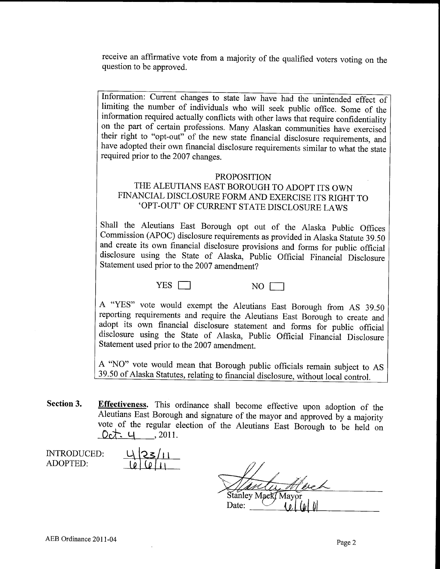receive an affirmative vote from <sup>a</sup> majority of the qualified voters voting on the question to be approved.

Information: Current changes to state law have had the unintended effect of limiting the number of individuals who will seek public office. Some of the information required actually conflicts with other laws that require confidentiality on the part of certain professions. Many Alaskan communities have exercised their right to "opt-out" of the new state financial disclosure requirements, and have adopted their own financial disclosure requirements similar to what the state required prior to the 2007 changes

#### PROPOSITION

## THE ALEUTIANS EAST BOROUGH TO ADOPT ITS OWN FINANCIAL DISCLOSURE FORM AND EXERCISE ITS RIGHT TO 'OPT-OUT' OF CURRENT STATE DISCLOSURE LAWS

Shall the Aleutians East Borough opt out of the Alaska Public Offices Commission (APOC) disclosure requirements as provided in Alaska Statute 39.50 and create its own financial disclosure provisions and forms for public official disclosure using the State of Alaska, Public Official Financial Disclosure Statement used prior to the 2007 amendment

YES NO

A "YES" vote would exempt the Aleutians East Borough from AS 39.50 reporting requirements and require the Aleutians East Borough to create and adopt its own financial disclosure statement and forms for public official disclosure using the State of Alaska, Public Official Financial Disclosure Statement used prior to the 2007 amendment

A "NO" vote would mean that Borough public officials remain subject to AS 39.50 of Alaska Statutes, relating to financial disclosure, without local control.

Section 3. Effectiveness. This ordinance shall become effective upon adoption of the Aleutians East Borough and signature of the mayor and approved by a majority vote of the regular election of the Aleutians East Borough to be held on  $2011.$ 

<u>23/11</u>

INTRODUCED ADOPTED

Stanley Mack Mayor Date:  $\overline{\mathbb{R}}$